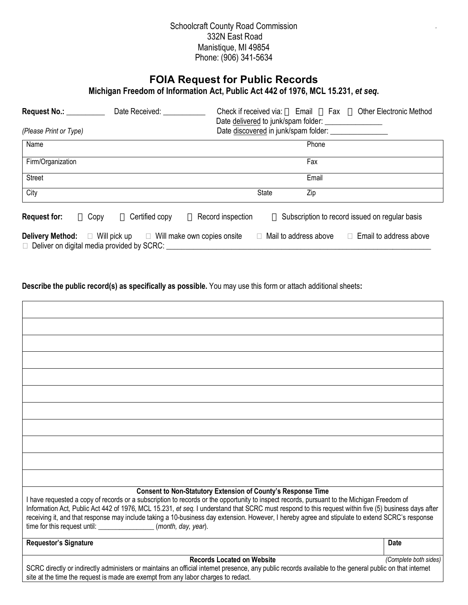*.*

## **FOIA Request for Public Records**

**Michigan Freedom of Information Act, Public Act 442 of 1976, MCL 15.231,** *et seq***.**

| <b>Request No.: __________</b>                    |                                                                                                                  | Date Received:                                                                 | Check if received via: |       | Email                        | Fax | <b>Other Electronic Method</b>                 |
|---------------------------------------------------|------------------------------------------------------------------------------------------------------------------|--------------------------------------------------------------------------------|------------------------|-------|------------------------------|-----|------------------------------------------------|
| (Please Print or Type)                            | Date delivered to junk/spam folder: __________________<br>Date discovered in junk/spam folder: _________________ |                                                                                |                        |       |                              |     |                                                |
| Name                                              |                                                                                                                  |                                                                                |                        |       | Phone                        |     |                                                |
| Firm/Organization                                 |                                                                                                                  |                                                                                |                        |       | Fax                          |     |                                                |
| <b>Street</b>                                     |                                                                                                                  |                                                                                |                        |       | Email                        |     |                                                |
| City                                              |                                                                                                                  |                                                                                |                        | State | Zip                          |     |                                                |
| <b>Request for:</b>                               | Copy                                                                                                             | Certified copy                                                                 | Record inspection      |       |                              |     | Subscription to record issued on regular basis |
| $\Box$ Deliver on digital media provided by SCRC: |                                                                                                                  | <b>Delivery Method:</b> $\Box$ Will pick up $\Box$ Will make own copies onsite |                        |       | $\Box$ Mail to address above |     | $\Box$ Email to address above                  |

**Describe the public record(s) as specifically as possible.** You may use this form or attach additional sheets**:**

| Consent to Non-Statutory Extension of County's Response Time                                                                                            |                       |  |  |  |  |  |  |
|---------------------------------------------------------------------------------------------------------------------------------------------------------|-----------------------|--|--|--|--|--|--|
| I have requested a copy of records or a subscription to records or the opportunity to inspect records, pursuant to the Michigan Freedom of              |                       |  |  |  |  |  |  |
|                                                                                                                                                         |                       |  |  |  |  |  |  |
| Information Act, Public Act 442 of 1976, MCL 15.231, et seq. I understand that SCRC must respond to this request within five (5) business days after    |                       |  |  |  |  |  |  |
| receiving it, and that response may include taking a 10-business day extension. However, I hereby agree and stipulate to extend SCRC's response         |                       |  |  |  |  |  |  |
| time for this request until: ___________________(month, day, year).                                                                                     |                       |  |  |  |  |  |  |
|                                                                                                                                                         |                       |  |  |  |  |  |  |
| <b>Requestor's Signature</b>                                                                                                                            | <b>Date</b>           |  |  |  |  |  |  |
|                                                                                                                                                         |                       |  |  |  |  |  |  |
|                                                                                                                                                         |                       |  |  |  |  |  |  |
| <b>Records Located on Website</b>                                                                                                                       | (Complete both sides) |  |  |  |  |  |  |
| SCRC directly or indirectly administers or maintains an official internet presence, any public records available to the general public on that internet |                       |  |  |  |  |  |  |
| site at the time the request is made are exempt from any labor charges to redact.                                                                       |                       |  |  |  |  |  |  |